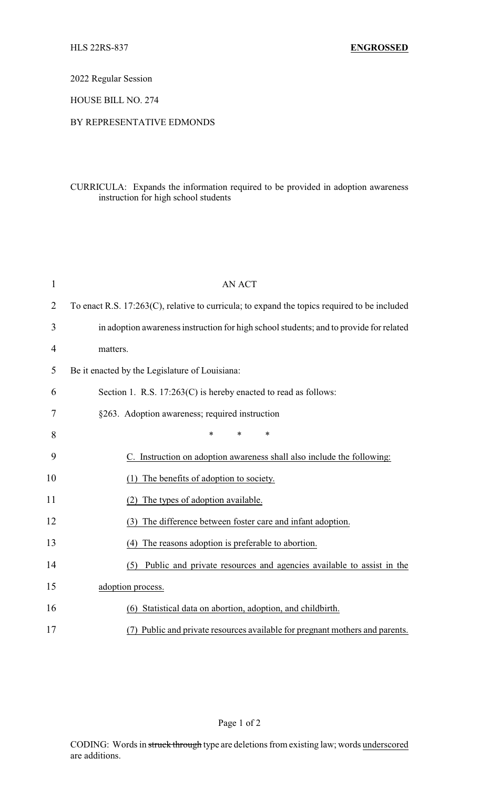2022 Regular Session

HOUSE BILL NO. 274

## BY REPRESENTATIVE EDMONDS

## CURRICULA: Expands the information required to be provided in adoption awareness instruction for high school students

| 1              | <b>AN ACT</b>                                                                                |  |
|----------------|----------------------------------------------------------------------------------------------|--|
| $\overline{2}$ | To enact R.S. 17:263(C), relative to curricula; to expand the topics required to be included |  |
| 3              | in adoption awareness instruction for high school students; and to provide for related       |  |
| 4              | matters.                                                                                     |  |
| 5              | Be it enacted by the Legislature of Louisiana:                                               |  |
| 6              | Section 1. R.S. $17:263(C)$ is hereby enacted to read as follows:                            |  |
| 7              | §263. Adoption awareness; required instruction                                               |  |
| 8              | $\ast$<br>$\ast$<br>*                                                                        |  |
| 9              | C. Instruction on adoption awareness shall also include the following:                       |  |
| 10             | The benefits of adoption to society.                                                         |  |
| 11             | The types of adoption available.<br>(2)                                                      |  |
| 12             | The difference between foster care and infant adoption.<br>(3)                               |  |
| 13             | (4) The reasons adoption is preferable to abortion.                                          |  |
| 14             | Public and private resources and agencies available to assist in the<br>(5)                  |  |
| 15             | adoption process.                                                                            |  |
| 16             | (6) Statistical data on abortion, adoption, and childbirth.                                  |  |
| 17             | (7) Public and private resources available for pregnant mothers and parents.                 |  |